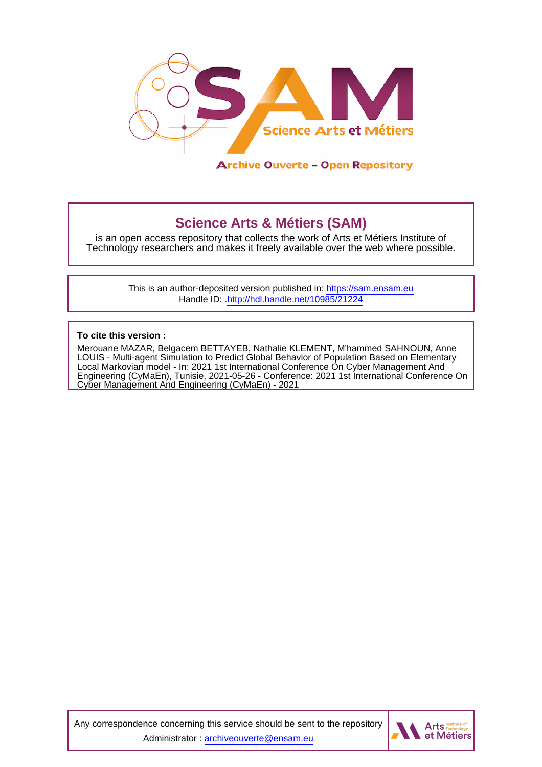

**Archive Ouverte - Open Repository** 

# **Science Arts & Métiers (SAM)**

is an open access repository that collects the work of Arts et Métiers Institute of Technology researchers and makes it freely available over the web where possible.

> This is an author-deposited version published in:<https://sam.ensam.eu> Handle ID: [.http://hdl.handle.net/10985/21224](http://hdl.handle.net/10985/21224)

**To cite this version :**

Merouane MAZAR, Belgacem BETTAYEB, Nathalie KLEMENT, M'hammed SAHNOUN, Anne LOUIS - Multi-agent Simulation to Predict Global Behavior of Population Based on Elementary Local Markovian model - In: 2021 1st International Conference On Cyber Management And Engineering (CyMaEn), Tunisie, 2021-05-26 - Conference: 2021 1st International Conference On Cyber Management And Engineering (CyMaEn) - 2021

Any correspondence concerning this service should be sent to the repository Administrator : [archiveouverte@ensam.eu](mailto:archiveouverte@ensam.eu)

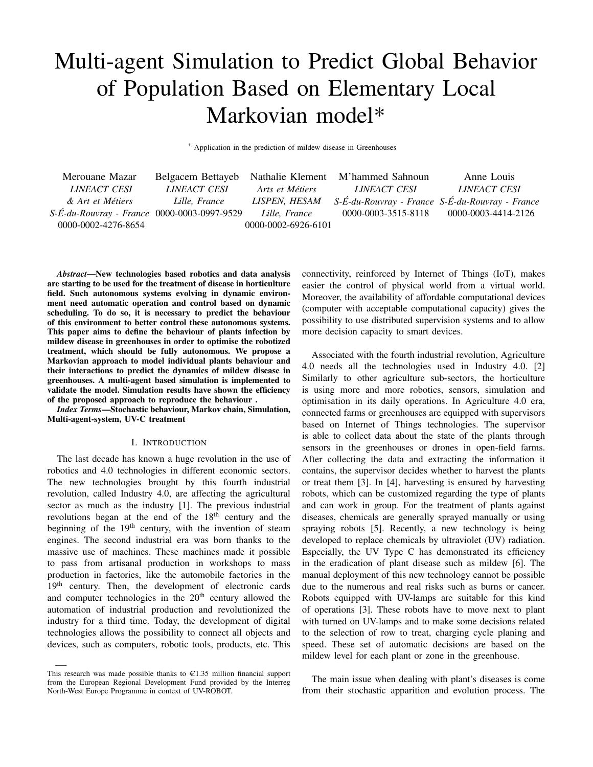# Multi-agent Simulation to Predict Global Behavior of Population Based on Elementary Local Markovian model\*

\* Application in the prediction of mildew disease in Greenhouses

| Merouane Mazar                              |               |                     | Belgacem Bettayeb Nathalie Klement M'hammed Sahnoun | Anne Louis                                      |
|---------------------------------------------|---------------|---------------------|-----------------------------------------------------|-------------------------------------------------|
| LINEACT CESI                                | LINEACT CESI  | Arts et Métiers     | <i>LINEACT CESI</i>                                 | LINEACT CESI                                    |
| & Art et Métiers                            | Lille, France | LISPEN, HESAM       |                                                     | S-É-du-Rouvray - France S-É-du-Rouvray - France |
| S-É-du-Rouvray - France 0000-0003-0997-9529 |               | Lille, France       | 0000-0003-3515-8118                                 | 0000-0003-4414-2126                             |
| 0000-0002-4276-8654                         |               | 0000-0002-6926-6101 |                                                     |                                                 |

*Abstract*—New technologies based robotics and data analysis are starting to be used for the treatment of disease in horticulture field. Such autonomous systems evolving in dynamic environment need automatic operation and control based on dynamic scheduling. To do so, it is necessary to predict the behaviour of this environment to better control these autonomous systems. This paper aims to define the behaviour of plants infection by mildew disease in greenhouses in order to optimise the robotized treatment, which should be fully autonomous. We propose a Markovian approach to model individual plants behaviour and their interactions to predict the dynamics of mildew disease in greenhouses. A multi-agent based simulation is implemented to validate the model. Simulation results have shown the efficiency of the proposed approach to reproduce the behaviour .

*Index Terms*—Stochastic behaviour, Markov chain, Simulation, Multi-agent-system, UV-C treatment

#### I. INTRODUCTION

The last decade has known a huge revolution in the use of robotics and 4.0 technologies in different economic sectors. The new technologies brought by this fourth industrial revolution, called Industry 4.0, are affecting the agricultural sector as much as the industry [1]. The previous industrial revolutions began at the end of the  $18<sup>th</sup>$  century and the beginning of the  $19<sup>th</sup>$  century, with the invention of steam engines. The second industrial era was born thanks to the massive use of machines. These machines made it possible to pass from artisanal production in workshops to mass production in factories, like the automobile factories in the 19<sup>th</sup> century. Then, the development of electronic cards and computer technologies in the  $20<sup>th</sup>$  century allowed the automation of industrial production and revolutionized the industry for a third time. Today, the development of digital technologies allows the possibility to connect all objects and devices, such as computers, robotic tools, products, etc. This

—–

connectivity, reinforced by Internet of Things (IoT), makes easier the control of physical world from a virtual world. Moreover, the availability of affordable computational devices (computer with acceptable computational capacity) gives the possibility to use distributed supervision systems and to allow more decision capacity to smart devices.

Associated with the fourth industrial revolution, Agriculture 4.0 needs all the technologies used in Industry 4.0. [2] Similarly to other agriculture sub-sectors, the horticulture is using more and more robotics, sensors, simulation and optimisation in its daily operations. In Agriculture 4.0 era, connected farms or greenhouses are equipped with supervisors based on Internet of Things technologies. The supervisor is able to collect data about the state of the plants through sensors in the greenhouses or drones in open-field farms. After collecting the data and extracting the information it contains, the supervisor decides whether to harvest the plants or treat them [3]. In [4], harvesting is ensured by harvesting robots, which can be customized regarding the type of plants and can work in group. For the treatment of plants against diseases, chemicals are generally sprayed manually or using spraying robots [5]. Recently, a new technology is being developed to replace chemicals by ultraviolet (UV) radiation. Especially, the UV Type C has demonstrated its efficiency in the eradication of plant disease such as mildew [6]. The manual deployment of this new technology cannot be possible due to the numerous and real risks such as burns or cancer. Robots equipped with UV-lamps are suitable for this kind of operations [3]. These robots have to move next to plant with turned on UV-lamps and to make some decisions related to the selection of row to treat, charging cycle planing and speed. These set of automatic decisions are based on the mildew level for each plant or zone in the greenhouse.

The main issue when dealing with plant's diseases is come from their stochastic apparition and evolution process. The

This research was made possible thanks to  $\epsilon$ 1.35 million financial support from the European Regional Development Fund provided by the Interreg North-West Europe Programme in context of UV-ROBOT.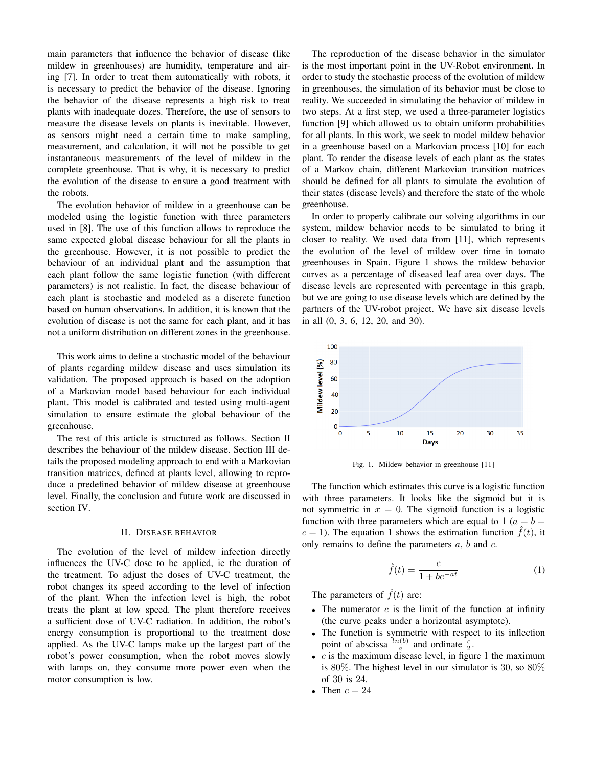main parameters that influence the behavior of disease (like mildew in greenhouses) are humidity, temperature and airing [7]. In order to treat them automatically with robots, it is necessary to predict the behavior of the disease. Ignoring the behavior of the disease represents a high risk to treat plants with inadequate dozes. Therefore, the use of sensors to measure the disease levels on plants is inevitable. However, as sensors might need a certain time to make sampling, measurement, and calculation, it will not be possible to get instantaneous measurements of the level of mildew in the complete greenhouse. That is why, it is necessary to predict the evolution of the disease to ensure a good treatment with the robots.

The evolution behavior of mildew in a greenhouse can be modeled using the logistic function with three parameters used in [8]. The use of this function allows to reproduce the same expected global disease behaviour for all the plants in the greenhouse. However, it is not possible to predict the behaviour of an individual plant and the assumption that each plant follow the same logistic function (with different parameters) is not realistic. In fact, the disease behaviour of each plant is stochastic and modeled as a discrete function based on human observations. In addition, it is known that the evolution of disease is not the same for each plant, and it has not a uniform distribution on different zones in the greenhouse.

This work aims to define a stochastic model of the behaviour of plants regarding mildew disease and uses simulation its validation. The proposed approach is based on the adoption of a Markovian model based behaviour for each individual plant. This model is calibrated and tested using multi-agent simulation to ensure estimate the global behaviour of the greenhouse.

The rest of this article is structured as follows. Section II describes the behaviour of the mildew disease. Section III details the proposed modeling approach to end with a Markovian transition matrices, defined at plants level, allowing to reproduce a predefined behavior of mildew disease at greenhouse level. Finally, the conclusion and future work are discussed in section IV.

#### II. DISEASE BEHAVIOR

The evolution of the level of mildew infection directly influences the UV-C dose to be applied, ie the duration of the treatment. To adjust the doses of UV-C treatment, the robot changes its speed according to the level of infection of the plant. When the infection level is high, the robot treats the plant at low speed. The plant therefore receives a sufficient dose of UV-C radiation. In addition, the robot's energy consumption is proportional to the treatment dose applied. As the UV-C lamps make up the largest part of the robot's power consumption, when the robot moves slowly with lamps on, they consume more power even when the motor consumption is low.

The reproduction of the disease behavior in the simulator is the most important point in the UV-Robot environment. In order to study the stochastic process of the evolution of mildew in greenhouses, the simulation of its behavior must be close to reality. We succeeded in simulating the behavior of mildew in two steps. At a first step, we used a three-parameter logistics function [9] which allowed us to obtain uniform probabilities for all plants. In this work, we seek to model mildew behavior in a greenhouse based on a Markovian process [10] for each plant. To render the disease levels of each plant as the states of a Markov chain, different Markovian transition matrices should be defined for all plants to simulate the evolution of their states (disease levels) and therefore the state of the whole greenhouse.

In order to properly calibrate our solving algorithms in our system, mildew behavior needs to be simulated to bring it closer to reality. We used data from [11], which represents the evolution of the level of mildew over time in tomato greenhouses in Spain. Figure 1 shows the mildew behavior curves as a percentage of diseased leaf area over days. The disease levels are represented with percentage in this graph, but we are going to use disease levels which are defined by the partners of the UV-robot project. We have six disease levels in all (0, 3, 6, 12, 20, and 30).



Fig. 1. Mildew behavior in greenhouse [11]

The function which estimates this curve is a logistic function with three parameters. It looks like the sigmoid but it is not symmetric in  $x = 0$ . The sigmoïd function is a logistic function with three parameters which are equal to 1 ( $a = b =$  $c = 1$ ). The equation 1 shows the estimation function  $\hat{f}(t)$ , it only remains to define the parameters  $a, b$  and  $c$ .

$$
\hat{f}(t) = \frac{c}{1 + be^{-at}}\tag{1}
$$

The parameters of  $\hat{f}(t)$  are:

- The numerator  $c$  is the limit of the function at infinity (the curve peaks under a horizontal asymptote).
- The function is symmetric with respect to its inflection point of abscissa  $\frac{\ln(b)}{a}$  and ordinate  $\frac{c}{2}$ .
- $c$  is the maximum disease level, in figure 1 the maximum is 80%. The highest level in our simulator is 30, so  $80\%$ of 30 is 24.
- Then  $c = 24$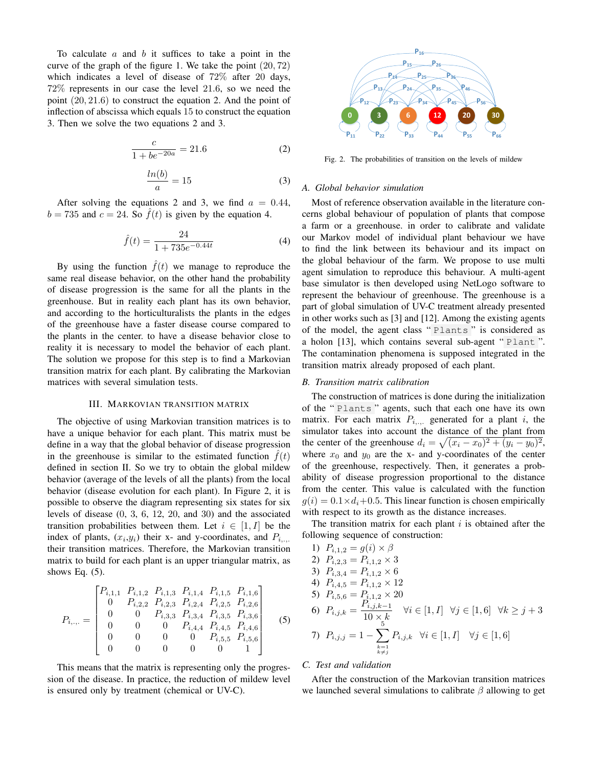To calculate  $a$  and  $b$  it suffices to take a point in the curve of the graph of the figure 1. We take the point (20, 72) which indicates a level of disease of 72% after 20 days, 72% represents in our case the level 21.6, so we need the point (20, 21.6) to construct the equation 2. And the point of inflection of abscissa which equals 15 to construct the equation 3. Then we solve the two equations 2 and 3.

$$
\frac{c}{1 + be^{-20a}} = 21.6\tag{2}
$$

$$
\frac{\ln(b)}{a} = 15\tag{3}
$$

After solving the equations 2 and 3, we find  $a = 0.44$ ,  $b = 735$  and  $c = 24$ . So  $\hat{f}(t)$  is given by the equation 4.

$$
\hat{f}(t) = \frac{24}{1 + 735e^{-0.44t}}\tag{4}
$$

By using the function  $\hat{f}(t)$  we manage to reproduce the same real disease behavior, on the other hand the probability of disease progression is the same for all the plants in the greenhouse. But in reality each plant has its own behavior, and according to the horticulturalists the plants in the edges of the greenhouse have a faster disease course compared to the plants in the center. to have a disease behavior close to reality it is necessary to model the behavior of each plant. The solution we propose for this step is to find a Markovian transition matrix for each plant. By calibrating the Markovian matrices with several simulation tests.

## III. MARKOVIAN TRANSITION MATRIX

The objective of using Markovian transition matrices is to have a unique behavior for each plant. This matrix must be define in a way that the global behavior of disease progression in the greenhouse is similar to the estimated function  $f(t)$ defined in section II. So we try to obtain the global mildew behavior (average of the levels of all the plants) from the local behavior (disease evolution for each plant). In Figure 2, it is possible to observe the diagram representing six states for six levels of disease (0, 3, 6, 12, 20, and 30) and the associated transition probabilities between them. Let  $i \in [1, I]$  be the index of plants,  $(x_i, y_i)$  their x- and y-coordinates, and  $P_{i, \dots}$ their transition matrices. Therefore, the Markovian transition matrix to build for each plant is an upper triangular matrix, as shows Eq.  $(5)$ .

$$
P_{i,\dots} = \begin{bmatrix} P_{i,1,1} & P_{i,1,2} & P_{i,1,3} & P_{i,1,4} & P_{i,1,5} & P_{i,1,6} \\ 0 & P_{i,2,2} & P_{i,2,3} & P_{i,2,4} & P_{i,2,5} & P_{i,2,6} \\ 0 & 0 & P_{i,3,3} & P_{i,3,4} & P_{i,3,5} & P_{i,3,6} \\ 0 & 0 & 0 & P_{i,4,4} & P_{i,4,5} & P_{i,4,6} \\ 0 & 0 & 0 & 0 & P_{i,5,5} & P_{i,5,6} \\ 0 & 0 & 0 & 0 & 0 & 1 \end{bmatrix}
$$
(5)

This means that the matrix is representing only the progression of the disease. In practice, the reduction of mildew level is ensured only by treatment (chemical or UV-C).



Fig. 2. The probabilities of transition on the levels of mildew

#### *A. Global behavior simulation*

Most of reference observation available in the literature concerns global behaviour of population of plants that compose a farm or a greenhouse. in order to calibrate and validate our Markov model of individual plant behaviour we have to find the link between its behaviour and its impact on the global behaviour of the farm. We propose to use multi agent simulation to reproduce this behaviour. A multi-agent base simulator is then developed using NetLogo software to represent the behaviour of greenhouse. The greenhouse is a part of global simulation of UV-C treatment already presented in other works such as [3] and [12]. Among the existing agents of the model, the agent class " Plants " is considered as a holon [13], which contains several sub-agent " Plant ". The contamination phenomena is supposed integrated in the transition matrix already proposed of each plant.

## *B. Transition matrix calibration*

The construction of matrices is done during the initialization of the " Plants " agents, such that each one have its own matrix. For each matrix  $P_{i, \dots}$  generated for a plant i, the simulator takes into account the distance of the plant from the center of the greenhouse  $d_i = \sqrt{(x_i - x_0)^2 + (y_i - y_0)^2}$ , where  $x_0$  and  $y_0$  are the x- and y-coordinates of the center of the greenhouse, respectively. Then, it generates a probability of disease progression proportional to the distance from the center. This value is calculated with the function  $g(i) = 0.1 \times d_i + 0.5$ . This linear function is chosen empirically with respect to its growth as the distance increases.

The transition matrix for each plant  $i$  is obtained after the following sequence of construction:

1) 
$$
P_{i,1,2} = g(i) \times \beta
$$
  
\n2)  $P_{i,2,3} = P_{i,1,2} \times 3$   
\n3)  $P_{i,3,4} = P_{i,1,2} \times 6$   
\n4)  $P_{i,4,5} = P_{i,1,2} \times 12$   
\n5)  $P_{i,5,6} = P_{i,1,2} \times 12$   
\n6)  $P_{i,j,k} = \frac{P_{i,j,k-1}}{10 \times k}$   $\forall i \in [1, I] \forall j \in [1, 6] \forall k \geq j + 3$   
\n7)  $P_{i,j,j} = 1 - \sum_{\substack{k=1 \ k \neq j}}^{5} P_{i,j,k}$   $\forall i \in [1, I] \forall j \in [1, 6]$ 

# *C. Test and validation*

After the construction of the Markovian transition matrices we launched several simulations to calibrate  $\beta$  allowing to get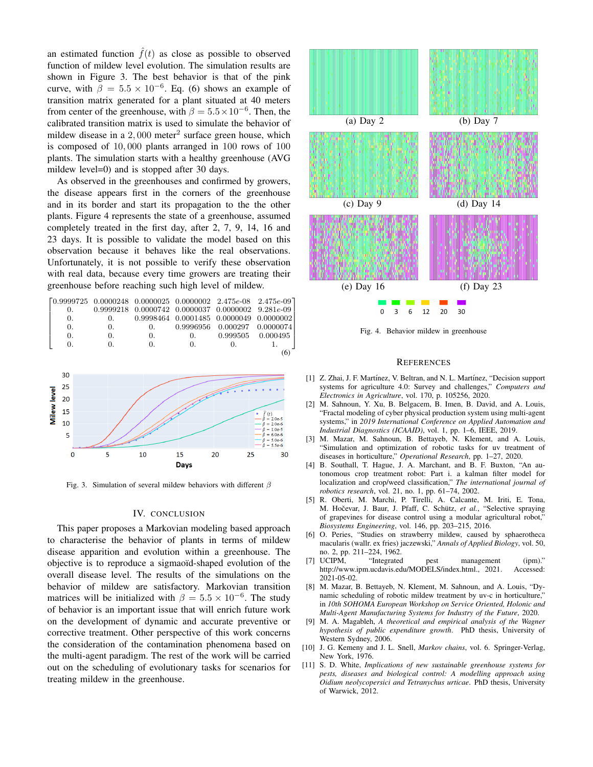an estimated function  $\hat{f}(t)$  as close as possible to observed function of mildew level evolution. The simulation results are shown in Figure 3. The best behavior is that of the pink curve, with  $\beta = 5.5 \times 10^{-6}$ . Eq. (6) shows an example of transition matrix generated for a plant situated at 40 meters from center of the greenhouse, with  $\beta = 5.5 \times 10^{-6}$ . Then, the calibrated transition matrix is used to simulate the behavior of mildew disease in a  $2,000$  meter<sup>2</sup> surface green house, which is composed of 10, 000 plants arranged in 100 rows of 100 plants. The simulation starts with a healthy greenhouse (AVG mildew level=0) and is stopped after 30 days.

As observed in the greenhouses and confirmed by growers, the disease appears first in the corners of the greenhouse and in its border and start its propagation to the the other plants. Figure 4 represents the state of a greenhouse, assumed completely treated in the first day, after 2, 7, 9, 14, 16 and 23 days. It is possible to validate the model based on this observation because it behaves like the real observations. Unfortunately, it is not possible to verify these observation with real data, because every time growers are treating their greenhouse before reaching such high level of mildew.



Fig. 3. Simulation of several mildew behaviors with different  $\beta$ 

#### IV. CONCLUSION

This paper proposes a Markovian modeling based approach to characterise the behavior of plants in terms of mildew disease apparition and evolution within a greenhouse. The objective is to reproduce a sigmaoïd-shaped evolution of the overall disease level. The results of the simulations on the behavior of mildew are satisfactory. Markovian transition matrices will be initialized with  $\beta = 5.5 \times 10^{-6}$ . The study of behavior is an important issue that will enrich future work on the development of dynamic and accurate preventive or corrective treatment. Other perspective of this work concerns the consideration of the contamination phenomena based on the multi-agent paradigm. The rest of the work will be carried out on the scheduling of evolutionary tasks for scenarios for treating mildew in the greenhouse.



Fig. 4. Behavior mildew in greenhouse

#### **REFERENCES**

- [1] Z. Zhai, J. F. Martínez, V. Beltran, and N. L. Martínez, "Decision support systems for agriculture 4.0: Survey and challenges," *Computers and Electronics in Agriculture*, vol. 170, p. 105256, 2020.
- [2] M. Sahnoun, Y. Xu, B. Belgacem, B. Imen, B. David, and A. Louis, "Fractal modeling of cyber physical production system using multi-agent systems," in *2019 International Conference on Applied Automation and Industrial Diagnostics (ICAAID)*, vol. 1, pp. 1–6, IEEE, 2019.
- [3] M. Mazar, M. Sahnoun, B. Bettayeb, N. Klement, and A. Louis, "Simulation and optimization of robotic tasks for uv treatment of diseases in horticulture," *Operational Research*, pp. 1–27, 2020.
- [4] B. Southall, T. Hague, J. A. Marchant, and B. F. Buxton, "An autonomous crop treatment robot: Part i. a kalman filter model for localization and crop/weed classification," *The international journal of robotics research*, vol. 21, no. 1, pp. 61–74, 2002.
- [5] R. Oberti, M. Marchi, P. Tirelli, A. Calcante, M. Iriti, E. Tona, M. Hočevar, J. Baur, J. Pfaff, C. Schütz, et al., "Selective spraying of grapevines for disease control using a modular agricultural robot," *Biosystems Engineering*, vol. 146, pp. 203–215, 2016.
- [6] O. Peries, "Studies on strawberry mildew, caused by sphaerotheca macularis (wallr. ex fries) jaczewski," *Annals of Applied Biology*, vol. 50, no. 2, pp. 211–224, 1962.
- [7] UCIPM, "Integrated pest management (ipm)."<br>http://www.ipm.ucdavis.edu/MODELS/index.html., 2021. Accessed: http://www.ipm.ucdavis.edu/MODELS/index.html., 2021. 2021-05-02.
- [8] M. Mazar, B. Bettayeb, N. Klement, M. Sahnoun, and A. Louis, "Dynamic scheduling of robotic mildew treatment by uv-c in horticulture," in *10th SOHOMA European Workshop on Service Oriented, Holonic and Multi-Agent Manufacturing Systems for Industry of the Future*, 2020.
- [9] M. A. Magableh, *A theoretical and empirical analysis of the Wagner hypothesis of public expenditure growth*. PhD thesis, University of Western Sydney, 2006.
- [10] J. G. Kemeny and J. L. Snell, *Markov chains*, vol. 6. Springer-Verlag, New York, 1976.
- [11] S. D. White, *Implications of new sustainable greenhouse systems for pests, diseases and biological control: A modelling approach using Oidium neolycopersici and Tetranychus urticae*. PhD thesis, University of Warwick, 2012.